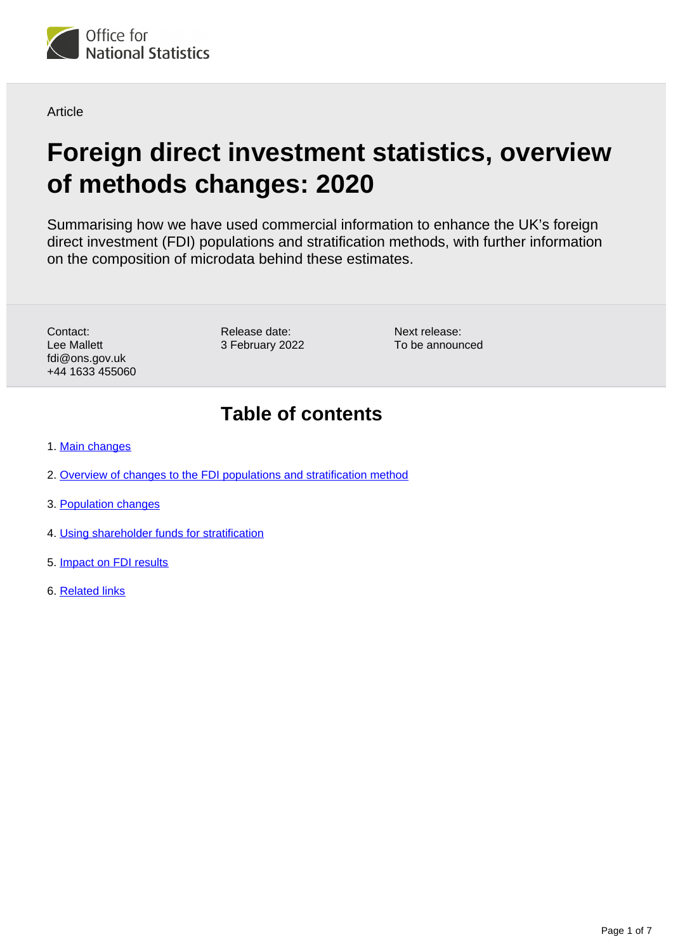

**Article** 

# **Foreign direct investment statistics, overview of methods changes: 2020**

Summarising how we have used commercial information to enhance the UK's foreign direct investment (FDI) populations and stratification methods, with further information on the composition of microdata behind these estimates.

Contact: Lee Mallett fdi@ons.gov.uk +44 1633 455060 Release date: 3 February 2022 Next release: To be announced

### **Table of contents**

- 1. [Main changes](#page-1-0)
- 2. [Overview of changes to the FDI populations and stratification method](#page-1-1)
- 3. [Population changes](#page-2-0)
- 4. [Using shareholder funds for stratification](#page-4-0)
- 5. [Impact on FDI results](#page-4-1)
- 6. [Related links](#page-6-0)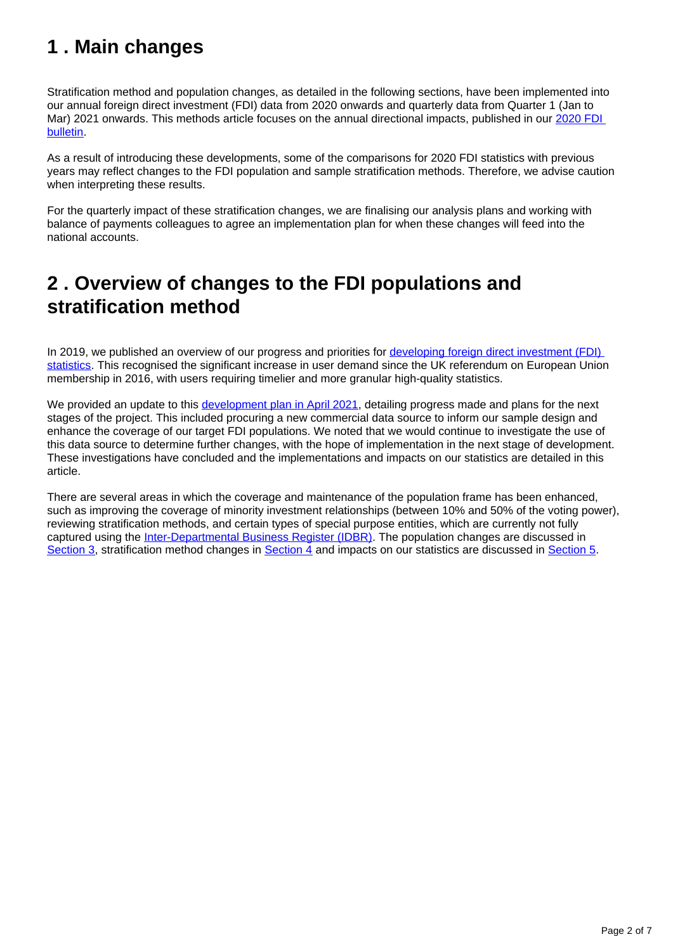## <span id="page-1-0"></span>**1 . Main changes**

Stratification method and population changes, as detailed in the following sections, have been implemented into our annual foreign direct investment (FDI) data from 2020 onwards and quarterly data from Quarter 1 (Jan to Mar) 2021 onwards. This methods article focuses on the annual directional impacts, published in our [2020 FDI](https://www.ons.gov.uk/economy/nationalaccounts/balanceofpayments/bulletins/foreigndirectinvestmentinvolvingukcompanies/2020)  [bulletin.](https://www.ons.gov.uk/economy/nationalaccounts/balanceofpayments/bulletins/foreigndirectinvestmentinvolvingukcompanies/2020)

As a result of introducing these developments, some of the comparisons for 2020 FDI statistics with previous years may reflect changes to the FDI population and sample stratification methods. Therefore, we advise caution when interpreting these results.

For the quarterly impact of these stratification changes, we are finalising our analysis plans and working with balance of payments colleagues to agree an implementation plan for when these changes will feed into the national accounts.

### <span id="page-1-1"></span>**2 . Overview of changes to the FDI populations and stratification method**

In 2019, we published an overview of our progress and priorities for developing foreign direct investment (FDI) [statistics.](https://www.ons.gov.uk/businessindustryandtrade/internationaltrade/articles/developingforeigndirectinvestmentstatistics/2019) This recognised the significant increase in user demand since the UK referendum on European Union membership in 2016, with users requiring timelier and more granular high-quality statistics.

We provided an update to this [development plan in April 2021](https://www.ons.gov.uk/businessindustryandtrade/internationaltrade/articles/developingforeigndirectinvestmentstatistics/2021), detailing progress made and plans for the next stages of the project. This included procuring a new commercial data source to inform our sample design and enhance the coverage of our target FDI populations. We noted that we would continue to investigate the use of this data source to determine further changes, with the hope of implementation in the next stage of development. These investigations have concluded and the implementations and impacts on our statistics are detailed in this article.

There are several areas in which the coverage and maintenance of the population frame has been enhanced, such as improving the coverage of minority investment relationships (between 10% and 50% of the voting power), reviewing stratification methods, and certain types of special purpose entities, which are currently not fully captured using the [Inter-Departmental Business Register \(IDBR\).](https://www.ons.gov.uk/aboutus/whatwedo/paidservices/interdepartmentalbusinessregisteridbr) The population changes are discussed in [Section 3](https://www.ons.gov.uk/economy/nationalaccounts/balanceofpayments/articles/foreigndirectinvestmentstatisticsoverviewofmethodschanges/2020#population-changes), stratification method changes in [Section 4](https://www.ons.gov.uk/economy/nationalaccounts/balanceofpayments/articles/foreigndirectinvestmentstatisticsoverviewofmethodschanges/2020#using-shareholder-funds-for-stratification) and impacts on our statistics are discussed in [Section 5](https://www.ons.gov.uk/economy/nationalaccounts/balanceofpayments/articles/foreigndirectinvestmentstatisticsoverviewofmethodschanges/2020#impact-on-fdi-results).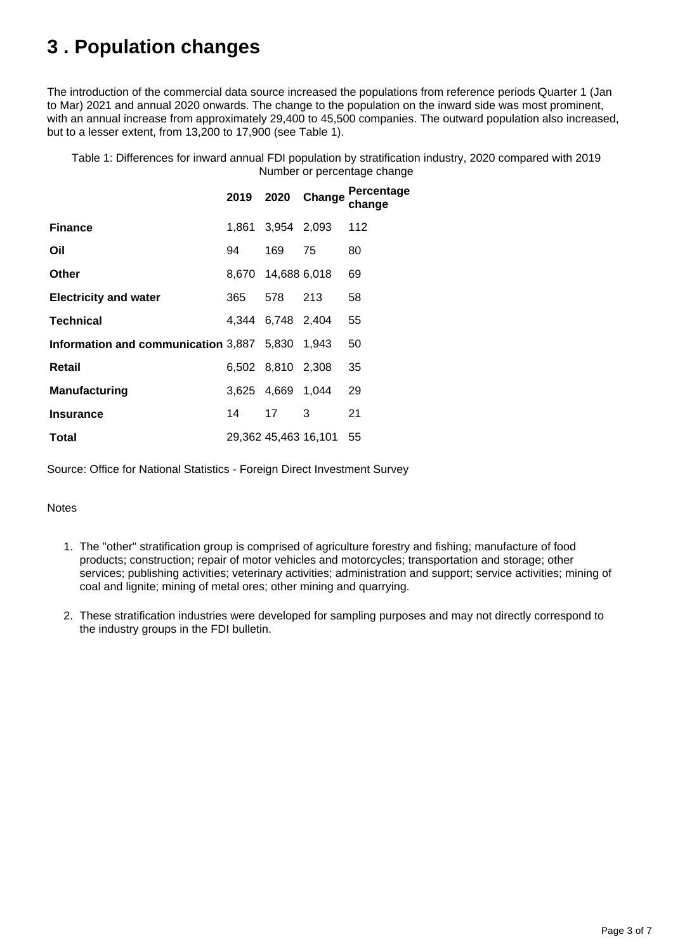## <span id="page-2-0"></span>**3 . Population changes**

The introduction of the commercial data source increased the populations from reference periods Quarter 1 (Jan to Mar) 2021 and annual 2020 onwards. The change to the population on the inward side was most prominent, with an annual increase from approximately 29,400 to 45,500 companies. The outward population also increased, but to a lesser extent, from 13,200 to 17,900 (see Table 1).

Table 1: Differences for inward annual FDI population by stratification industry, 2020 compared with 2019 Number or percentage change

|                                                 |       |                      | 2019 2020 Change | Percentage<br>change |
|-------------------------------------------------|-------|----------------------|------------------|----------------------|
| <b>Finance</b>                                  | 1.861 | 3,954 2,093          |                  | 112                  |
| Oil                                             | 94    | 169                  | 75               | 80                   |
| Other                                           |       | 8,670 14,688 6,018   |                  | 69                   |
| <b>Electricity and water</b>                    | 365   | 578                  | 213              | 58                   |
| <b>Technical</b>                                |       | 4,344 6,748 2,404    |                  | 55                   |
| Information and communication 3,887 5,830 1,943 |       |                      |                  | 50                   |
| Retail                                          |       | 6,502 8,810 2,308    |                  | 35                   |
| <b>Manufacturing</b>                            |       | 3,625 4,669 1,044    |                  | 29                   |
| Insurance                                       | 14    | 17                   | 3                | 21                   |
| Total                                           |       | 29,362 45,463 16,101 |                  | 55                   |

Source: Office for National Statistics - Foreign Direct Investment Survey

#### Notes

- 1. The "other" stratification group is comprised of agriculture forestry and fishing; manufacture of food products; construction; repair of motor vehicles and motorcycles; transportation and storage; other services; publishing activities; veterinary activities; administration and support; service activities; mining of coal and lignite; mining of metal ores; other mining and quarrying.
- 2. These stratification industries were developed for sampling purposes and may not directly correspond to the industry groups in the FDI bulletin.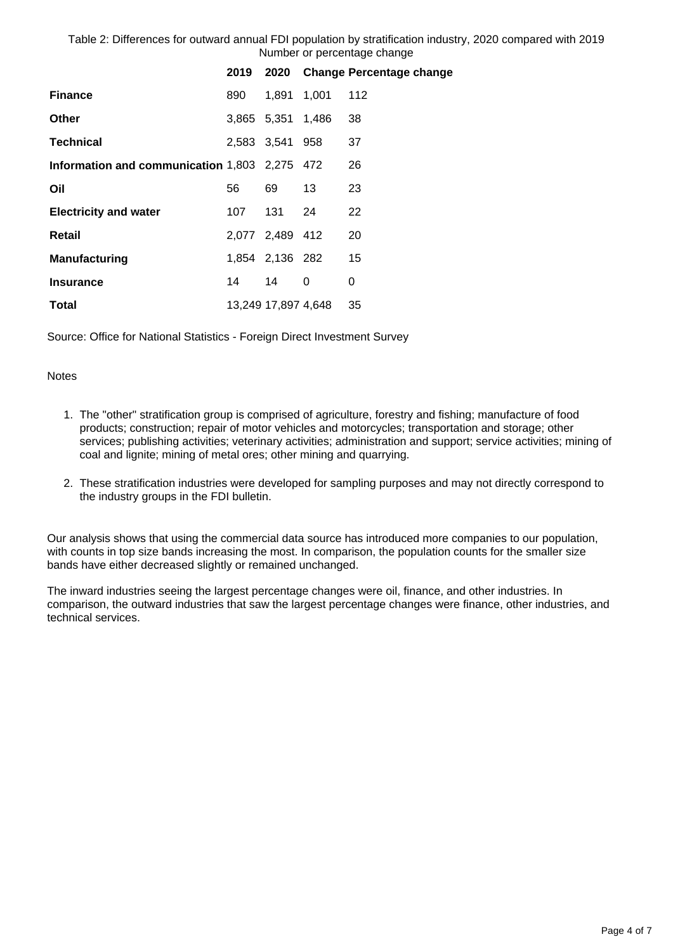Table 2: Differences for outward annual FDI population by stratification industry, 2020 compared with 2019 Number or percentage change

|                                               | 2019 |                     |    | 2020 Change Percentage change |
|-----------------------------------------------|------|---------------------|----|-------------------------------|
| <b>Finance</b>                                | 890  | 1,891 1,001         |    | 112                           |
| <b>Other</b>                                  |      | 3,865 5,351 1,486   |    | 38                            |
| <b>Technical</b>                              |      | 2,583 3,541 958     |    | 37                            |
| Information and communication 1,803 2,275 472 |      |                     |    | 26                            |
| Oil                                           | 56   | 69                  | 13 | 23                            |
| <b>Electricity and water</b>                  | 107  | 131 -               | 24 | 22                            |
| Retail                                        |      | 2,077 2,489 412     |    | 20                            |
| Manufacturing                                 |      | 1,854 2,136 282     |    | 15                            |
| <b>Insurance</b>                              | 14   | 14                  | 0  | 0                             |
| <b>Total</b>                                  |      | 13,249 17,897 4,648 |    | 35                            |
|                                               |      |                     |    |                               |

Source: Office for National Statistics - Foreign Direct Investment Survey

#### **Notes**

- 1. The "other" stratification group is comprised of agriculture, forestry and fishing; manufacture of food products; construction; repair of motor vehicles and motorcycles; transportation and storage; other services; publishing activities; veterinary activities; administration and support; service activities; mining of coal and lignite; mining of metal ores; other mining and quarrying.
- 2. These stratification industries were developed for sampling purposes and may not directly correspond to the industry groups in the FDI bulletin.

Our analysis shows that using the commercial data source has introduced more companies to our population, with counts in top size bands increasing the most. In comparison, the population counts for the smaller size bands have either decreased slightly or remained unchanged.

The inward industries seeing the largest percentage changes were oil, finance, and other industries. In comparison, the outward industries that saw the largest percentage changes were finance, other industries, and technical services.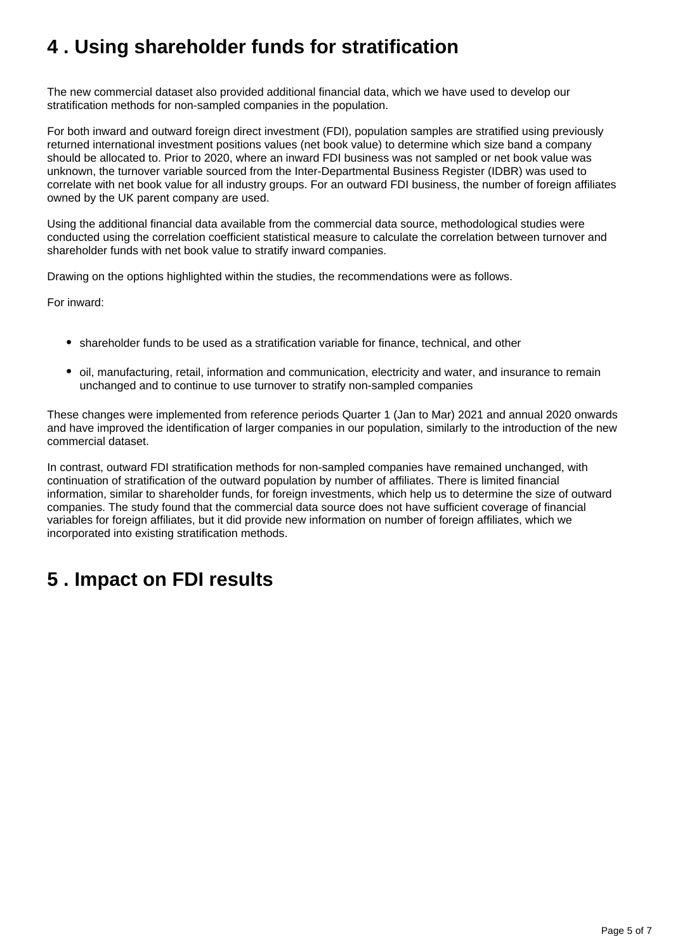## <span id="page-4-0"></span>**4 . Using shareholder funds for stratification**

The new commercial dataset also provided additional financial data, which we have used to develop our stratification methods for non-sampled companies in the population.

For both inward and outward foreign direct investment (FDI), population samples are stratified using previously returned international investment positions values (net book value) to determine which size band a company should be allocated to. Prior to 2020, where an inward FDI business was not sampled or net book value was unknown, the turnover variable sourced from the Inter-Departmental Business Register (IDBR) was used to correlate with net book value for all industry groups. For an outward FDI business, the number of foreign affiliates owned by the UK parent company are used.

Using the additional financial data available from the commercial data source, methodological studies were conducted using the correlation coefficient statistical measure to calculate the correlation between turnover and shareholder funds with net book value to stratify inward companies.

Drawing on the options highlighted within the studies, the recommendations were as follows.

For inward:

- shareholder funds to be used as a stratification variable for finance, technical, and other
- oil, manufacturing, retail, information and communication, electricity and water, and insurance to remain unchanged and to continue to use turnover to stratify non-sampled companies

These changes were implemented from reference periods Quarter 1 (Jan to Mar) 2021 and annual 2020 onwards and have improved the identification of larger companies in our population, similarly to the introduction of the new commercial dataset.

In contrast, outward FDI stratification methods for non-sampled companies have remained unchanged, with continuation of stratification of the outward population by number of affiliates. There is limited financial information, similar to shareholder funds, for foreign investments, which help us to determine the size of outward companies. The study found that the commercial data source does not have sufficient coverage of financial variables for foreign affiliates, but it did provide new information on number of foreign affiliates, which we incorporated into existing stratification methods.

## <span id="page-4-1"></span>**5 . Impact on FDI results**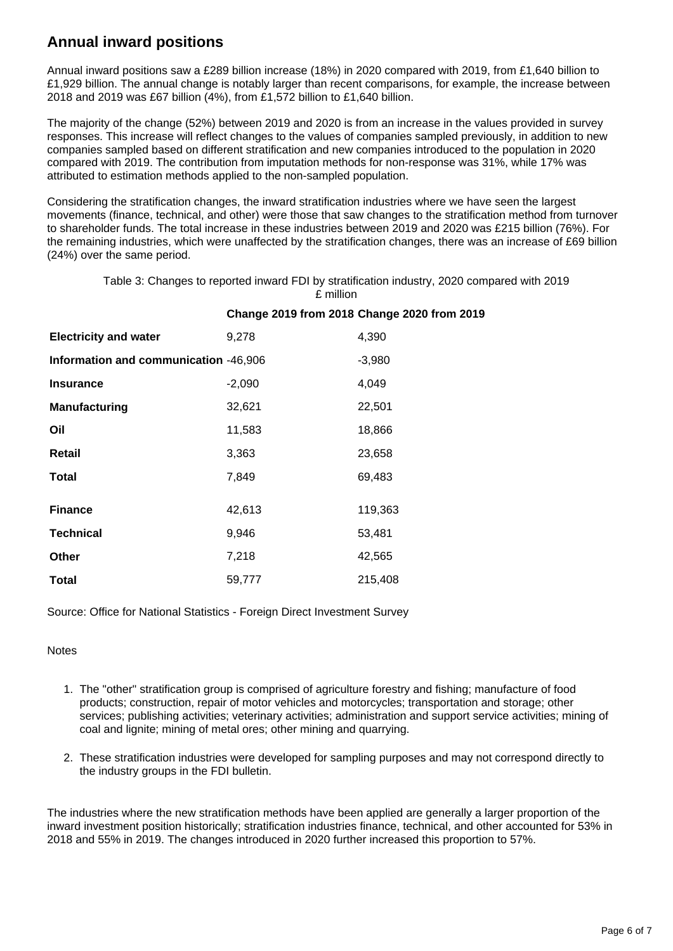### **Annual inward positions**

Annual inward positions saw a £289 billion increase (18%) in 2020 compared with 2019, from £1,640 billion to £1,929 billion. The annual change is notably larger than recent comparisons, for example, the increase between 2018 and 2019 was £67 billion (4%), from £1,572 billion to £1,640 billion.

The majority of the change (52%) between 2019 and 2020 is from an increase in the values provided in survey responses. This increase will reflect changes to the values of companies sampled previously, in addition to new companies sampled based on different stratification and new companies introduced to the population in 2020 compared with 2019. The contribution from imputation methods for non-response was 31%, while 17% was attributed to estimation methods applied to the non-sampled population.

Considering the stratification changes, the inward stratification industries where we have seen the largest movements (finance, technical, and other) were those that saw changes to the stratification method from turnover to shareholder funds. The total increase in these industries between 2019 and 2020 was £215 billion (76%). For the remaining industries, which were unaffected by the stratification changes, there was an increase of £69 billion (24%) over the same period.

Table 3: Changes to reported inward FDI by stratification industry, 2020 compared with 2019 £ million

| <b>Electricity and water</b>          | 9,278    | 4,390    |
|---------------------------------------|----------|----------|
| Information and communication -46,906 |          | $-3,980$ |
| <b>Insurance</b>                      | $-2,090$ | 4,049    |
| <b>Manufacturing</b>                  | 32,621   | 22,501   |
| Oil                                   | 11,583   | 18,866   |
| Retail                                | 3,363    | 23,658   |
| Total                                 | 7,849    | 69,483   |
| <b>Finance</b>                        | 42,613   | 119,363  |
| <b>Technical</b>                      | 9,946    | 53,481   |
| <b>Other</b>                          | 7,218    | 42,565   |
| <b>Total</b>                          | 59,777   | 215,408  |

#### **Change 2019 from 2018 Change 2020 from 2019**

Source: Office for National Statistics - Foreign Direct Investment Survey

#### **Notes**

- 1. The "other" stratification group is comprised of agriculture forestry and fishing; manufacture of food products; construction, repair of motor vehicles and motorcycles; transportation and storage; other services; publishing activities; veterinary activities; administration and support service activities; mining of coal and lignite; mining of metal ores; other mining and quarrying.
- 2. These stratification industries were developed for sampling purposes and may not correspond directly to the industry groups in the FDI bulletin.

The industries where the new stratification methods have been applied are generally a larger proportion of the inward investment position historically; stratification industries finance, technical, and other accounted for 53% in 2018 and 55% in 2019. The changes introduced in 2020 further increased this proportion to 57%.